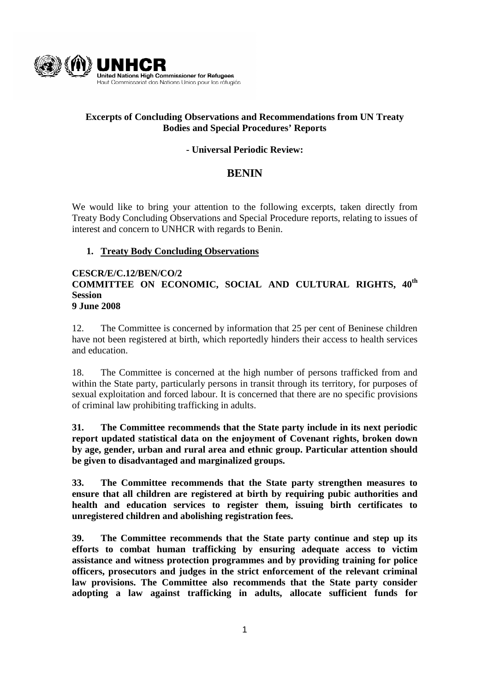

# **Excerpts of Concluding Observations and Recommendations from UN Treaty Bodies and Special Procedures' Reports**

# **- Universal Periodic Review:**

# **BENIN**

We would like to bring your attention to the following excerpts, taken directly from Treaty Body Concluding Observations and Special Procedure reports, relating to issues of interest and concern to UNHCR with regards to Benin.

# **1. Treaty Body Concluding Observations**

### **CESCR/E/C.12/BEN/CO/2 COMMITTEE ON ECONOMIC, SOCIAL AND CULTURAL RIGHTS, 40th Session 9 June 2008**

12. The Committee is concerned by information that 25 per cent of Beninese children have not been registered at birth, which reportedly hinders their access to health services and education.

18. The Committee is concerned at the high number of persons trafficked from and within the State party, particularly persons in transit through its territory, for purposes of sexual exploitation and forced labour. It is concerned that there are no specific provisions of criminal law prohibiting trafficking in adults.

**31. The Committee recommends that the State party include in its next periodic report updated statistical data on the enjoyment of Covenant rights, broken down by age, gender, urban and rural area and ethnic group. Particular attention should be given to disadvantaged and marginalized groups.** 

**33. The Committee recommends that the State party strengthen measures to ensure that all children are registered at birth by requiring pubic authorities and health and education services to register them, issuing birth certificates to unregistered children and abolishing registration fees.** 

**39. The Committee recommends that the State party continue and step up its efforts to combat human trafficking by ensuring adequate access to victim assistance and witness protection programmes and by providing training for police officers, prosecutors and judges in the strict enforcement of the relevant criminal law provisions. The Committee also recommends that the State party consider adopting a law against trafficking in adults, allocate sufficient funds for**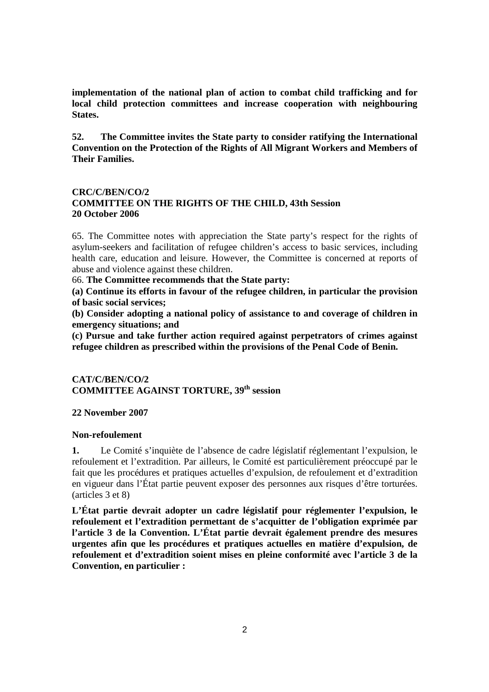**implementation of the national plan of action to combat child trafficking and for local child protection committees and increase cooperation with neighbouring States.** 

**52. The Committee invites the State party to consider ratifying the International Convention on the Protection of the Rights of All Migrant Workers and Members of Their Families.** 

# **CRC/C/BEN/CO/2 COMMITTEE ON THE RIGHTS OF THE CHILD, 43th Session 20 October 2006**

65. The Committee notes with appreciation the State party's respect for the rights of asylum-seekers and facilitation of refugee children's access to basic services, including health care, education and leisure. However, the Committee is concerned at reports of abuse and violence against these children.

66. **The Committee recommends that the State party:** 

**(a) Continue its efforts in favour of the refugee children, in particular the provision of basic social services;** 

**(b) Consider adopting a national policy of assistance to and coverage of children in emergency situations; and** 

**(c) Pursue and take further action required against perpetrators of crimes against refugee children as prescribed within the provisions of the Penal Code of Benin.** 

### **CAT/C/BEN/CO/2 COMMITTEE AGAINST TORTURE, 39th session**

### **22 November 2007**

### **Non-refoulement**

**1.** Le Comité s'inquiète de l'absence de cadre législatif réglementant l'expulsion, le refoulement et l'extradition. Par ailleurs, le Comité est particulièrement préoccupé par le fait que les procédures et pratiques actuelles d'expulsion, de refoulement et d'extradition en vigueur dans l'État partie peuvent exposer des personnes aux risques d'être torturées. (articles 3 et 8)

**L'État partie devrait adopter un cadre législatif pour réglementer l'expulsion, le refoulement et l'extradition permettant de s'acquitter de l'obligation exprimée par l'article 3 de la Convention. L'État partie devrait également prendre des mesures urgentes afin que les procédures et pratiques actuelles en matière d'expulsion, de refoulement et d'extradition soient mises en pleine conformité avec l'article 3 de la Convention, en particulier :**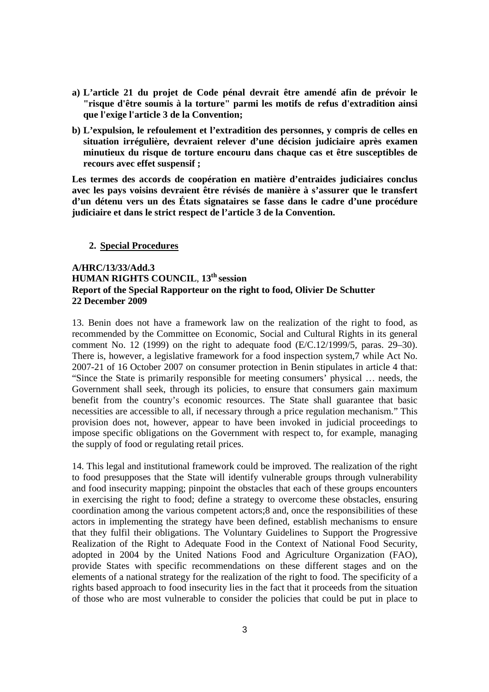- **a) L'article 21 du projet de Code pénal devrait être amendé afin de prévoir le "risque d'être soumis à la torture" parmi les motifs de refus d'extradition ainsi que l'exige l'article 3 de la Convention;**
- **b) L'expulsion, le refoulement et l'extradition des personnes, y compris de celles en situation irrégulière, devraient relever d'une décision judiciaire après examen minutieux du risque de torture encouru dans chaque cas et être susceptibles de recours avec effet suspensif ;**

**Les termes des accords de coopération en matière d'entraides judiciaires conclus avec les pays voisins devraient être révisés de manière à s'assurer que le transfert d'un détenu vers un des États signataires se fasse dans le cadre d'une procédure judiciaire et dans le strict respect de l'article 3 de la Convention.**

#### **2. Special Procedures**

### **A/HRC/13/33/Add.3 HUMAN RIGHTS COUNCIL**, **13th session Report of the Special Rapporteur on the right to food, Olivier De Schutter 22 December 2009**

13. Benin does not have a framework law on the realization of the right to food, as recommended by the Committee on Economic, Social and Cultural Rights in its general comment No. 12 (1999) on the right to adequate food (E/C.12/1999/5, paras. 29–30). There is, however, a legislative framework for a food inspection system,7 while Act No. 2007-21 of 16 October 2007 on consumer protection in Benin stipulates in article 4 that: "Since the State is primarily responsible for meeting consumers' physical … needs, the Government shall seek, through its policies, to ensure that consumers gain maximum benefit from the country's economic resources. The State shall guarantee that basic necessities are accessible to all, if necessary through a price regulation mechanism." This provision does not, however, appear to have been invoked in judicial proceedings to impose specific obligations on the Government with respect to, for example, managing the supply of food or regulating retail prices.

14. This legal and institutional framework could be improved. The realization of the right to food presupposes that the State will identify vulnerable groups through vulnerability and food insecurity mapping; pinpoint the obstacles that each of these groups encounters in exercising the right to food; define a strategy to overcome these obstacles, ensuring coordination among the various competent actors;8 and, once the responsibilities of these actors in implementing the strategy have been defined, establish mechanisms to ensure that they fulfil their obligations. The Voluntary Guidelines to Support the Progressive Realization of the Right to Adequate Food in the Context of National Food Security, adopted in 2004 by the United Nations Food and Agriculture Organization (FAO), provide States with specific recommendations on these different stages and on the elements of a national strategy for the realization of the right to food. The specificity of a rights based approach to food insecurity lies in the fact that it proceeds from the situation of those who are most vulnerable to consider the policies that could be put in place to